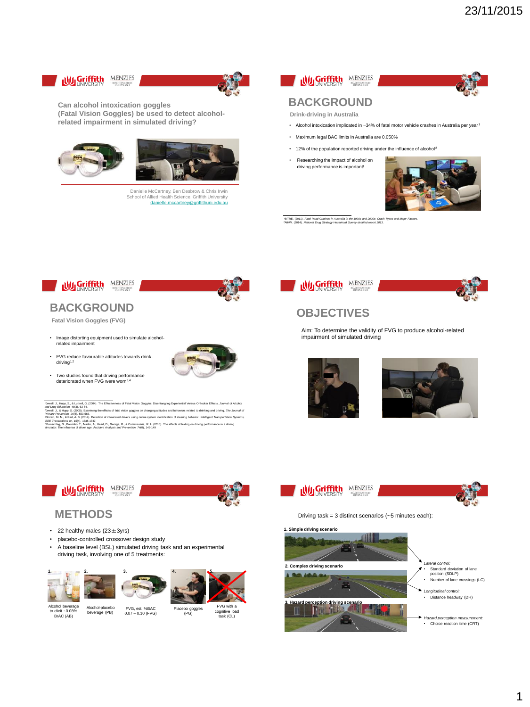



**Can alcohol intoxication goggles (Fatal Vision Goggles) be used to detect alcoholrelated impairment in simulated driving?**





Danielle McCartney, Ben Desbrow & Chris Irwin School of Allied Health Science, Griffith University [danielle.mccartney@griffithuni.edu.au](mailto:Danielle.mccartney@griffithunu.edu.au)



# **BACKGROUND**

**Drink-driving in Australia**

- Alcohol intoxication implicated in ~34% of fatal motor vehicle crashes in Australia per year<sup>1</sup>
- Maximum legal BAC limits in Australia are 0.050%
- 12% of the population reported driving under the influence of alcohol<sup>2</sup>
- Researching the impact of alcohol on driving performance is important!



<sup>1</sup>BITRE. (2011). *Fatal Road Crashes in Australia in the 1990s and 2000s: Crash Types and Major Factors.*<br><sup>2</sup>AIHW. (2014). National Drug Strategy Household Survey detailed report 2013.



### **BACKGROUND**

**Fatal Vision Goggles (FVG)**

- Image distorting equipment used to simulate alcoholrelated impairment
- FVG reduce favourable attitudes towards drinkdriving<sup>1,2</sup>
- Two studies found that driving performance deteriorated when FVG were worn3,4



Useed), J. Hego, S. A. Lattest, G. (2004). The Effectiveness of Fatal Vision Goggles: Disentanging Experiential Versus Orlocket Effects. Journal of Alcohol<br>and Drug Education, and USS 2006. The Effects of Italia' vision p







### **OBJECTIVES**

Aim: To determine the validity of FVG to produce alcohol-related impairment of simulated driving







**1. Simple driving scenario 2. Complex driving scenario 3. Hazard perception driving scenario** *Lateral control:*  • Standard deviation of lane position (SDLP) • Number of lane crossings (LC) *Longitudinal control:*  • Distance headway (DH) **Hazard perception measure** • Choice reaction time (CRT)



- 22 healthy males (23±3yrs)
- placebo-controlled crossover design study
- A baseline level (BSL) simulated driving task and an experimental driving task, involving one of 5 treatments:





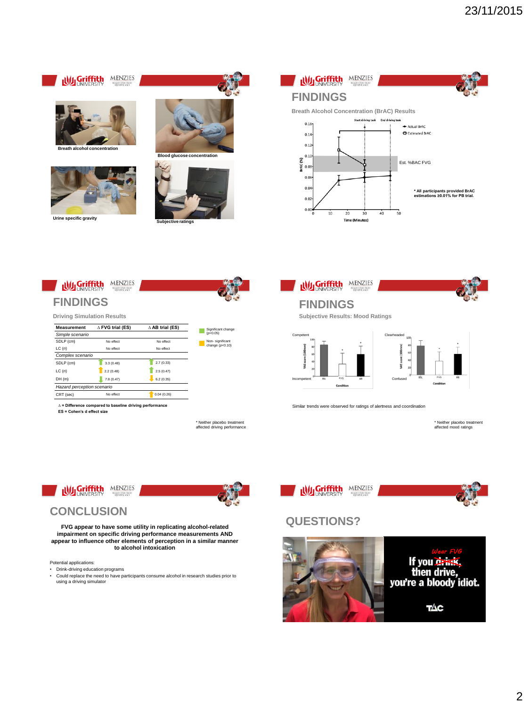

**Urine specific gravity**







## **FINDINGS**

**Driving Simulation Results**

| $\Delta$ FVG trial (ES)    | $\triangle$ AB trial (ES) |  |  |
|----------------------------|---------------------------|--|--|
|                            |                           |  |  |
| No effect                  | No effect                 |  |  |
| No effect                  | No effect                 |  |  |
|                            |                           |  |  |
| 3.3(0.48)                  | 2.7(0.33)                 |  |  |
| 2.2(0.48)                  | 2.5(0.47)                 |  |  |
| 7.8 (0.47)                 | 6.2(0.35)                 |  |  |
| Hazard perception scenario |                           |  |  |
| No effect                  | 0.04(0.26)                |  |  |
|                            |                           |  |  |

**∆ = Difference compared to baseline driving performance**

**ES = Cohen's d effect size**



\* Neither placebo treatment affected driving performance

Significant change (*p*<0.05)

**FINDINGS Subjective Results: Mood Ratings**

**Wy Griffith MENZIES** 



Similar trends were observed for ratings of alertness and coordination

\* Neither placebo treatment affected mood ratings



## **QUESTIONS?**





### **CONCLUSION**

**FVG appear to have some utility in replicating alcohol-related impairment on specific driving performance measurements AND appear to influence other elements of perception in a similar manner to alcohol intoxication** 

Potential applications:

- Drink-driving education programs
- Could replace the need to have participants consume alcohol in research studies prior to using a driving simulator